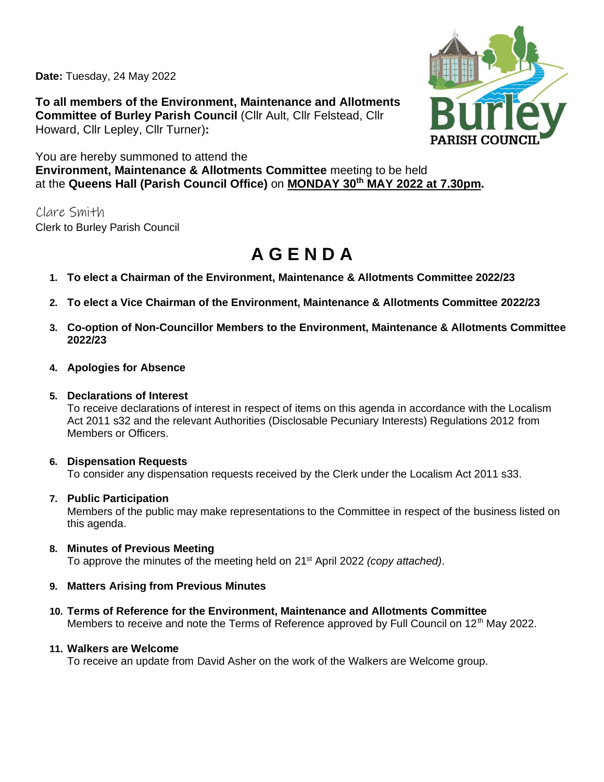**Date:** Tuesday, 24 May 2022

**To all members of the Environment, Maintenance and Allotments Committee of Burley Parish Council** (Cllr Ault, Cllr Felstead, Cllr Howard, Cllr Lepley, Cllr Turner)**:**



You are hereby summoned to attend the **Environment, Maintenance & Allotments Committee** meeting to be held at the **Queens Hall (Parish Council Office)** on **MONDAY 30th MAY 2022 at 7.30pm.** 

Clare Smith Clerk to Burley Parish Council

# **A G E N D A**

- **1. To elect a Chairman of the Environment, Maintenance & Allotments Committee 2022/23**
- **2. To elect a Vice Chairman of the Environment, Maintenance & Allotments Committee 2022/23**
- **3. Co-option of Non-Councillor Members to the Environment, Maintenance & Allotments Committee 2022/23**
- **4. Apologies for Absence**

## **5. Declarations of Interest**

To receive declarations of interest in respect of items on this agenda in accordance with the Localism Act 2011 s32 and the relevant Authorities (Disclosable Pecuniary Interests) Regulations 2012 from Members or Officers.

# **6. Dispensation Requests**

To consider any dispensation requests received by the Clerk under the Localism Act 2011 s33.

# **7. Public Participation**

Members of the public may make representations to the Committee in respect of the business listed on this agenda.

**8. Minutes of Previous Meeting** To approve the minutes of the meeting held on 21st April 2022 *(copy attached)*.

# **9. Matters Arising from Previous Minutes**

**10. Terms of Reference for the Environment, Maintenance and Allotments Committee** Members to receive and note the Terms of Reference approved by Full Council on 12<sup>th</sup> May 2022.

# **11. Walkers are Welcome**

To receive an update from David Asher on the work of the Walkers are Welcome group.